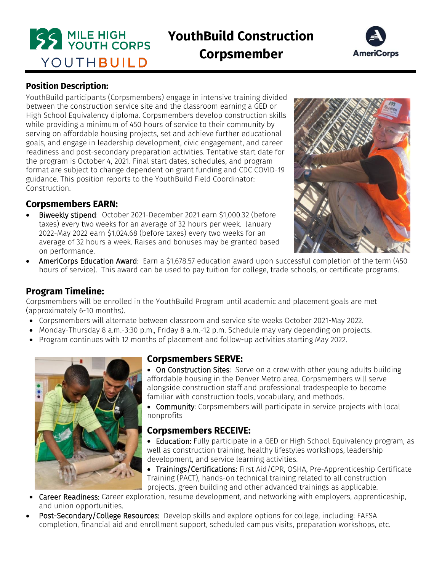

# **YouthBuild Construction**

**Corpsmember**



## **Position Description:**

YouthBuild participants (Corpsmembers) engage in intensive training divided between the construction service site and the classroom earning a GED or High School Equivalency diploma. Corpsmembers develop construction skills while providing a minimum of 450 hours of service to their community by serving on affordable housing projects, set and achieve further educational goals, and engage in leadership development, civic engagement, and career readiness and post-secondary preparation activities. Tentative start date for the program is October 4, 2021. Final start dates, schedules, and program format are subject to change dependent on grant funding and CDC COVID-19 guidance. This position reports to the YouthBuild Field Coordinator: Construction.

#### **Corpsmembers EARN:**

 Biweekly stipend: October 2021-December 2021 earn \$1,000.32 (before taxes) every two weeks for an average of 32 hours per week. January 2022-May 2022 earn \$1,024.68 (before taxes) every two weeks for an average of 32 hours a week. Raises and bonuses may be granted based on performance.



AmeriCorps Education Award: Earn a \$1,678.57 education award upon successful completion of the term (450) hours of service). This award can be used to pay tuition for college, trade schools, or certificate programs.

#### **Program Timeline:**

Corpsmembers will be enrolled in the YouthBuild Program until academic and placement goals are met (approximately 6-10 months).

- Corpsmembers will alternate between classroom and service site weeks October 2021-May 2022.
- Monday-Thursday 8 a.m.-3:30 p.m., Friday 8 a.m.-12 p.m. Schedule may vary depending on projects.
- Program continues with 12 months of placement and follow-up activities starting May 2022.



# **Corpsmembers SERVE:**

• On Construction Sites: Serve on a crew with other young adults building affordable housing in the Denver Metro area. Corpsmembers will serve alongside construction staff and professional tradespeople to become familiar with construction tools, vocabulary, and methods.

**Community:** Corpsmembers will participate in service projects with local nonprofits

#### **Corpsmembers RECEIVE:**

• Education: Fully participate in a GED or High School Equivalency program, as well as construction training, healthy lifestyles workshops, leadership development, and service learning activities.

• Trainings/Certifications: First Aid/CPR, OSHA, Pre-Apprenticeship Certificate Training (PACT), hands-on technical training related to all construction projects, green building and other advanced trainings as applicable.

- Career Readiness: Career exploration, resume development, and networking with employers, apprenticeship, and union opportunities.
- Post-Secondary/College Resources: Develop skills and explore options for college, including: FAFSA completion, financial aid and enrollment support, scheduled campus visits, preparation workshops, etc.